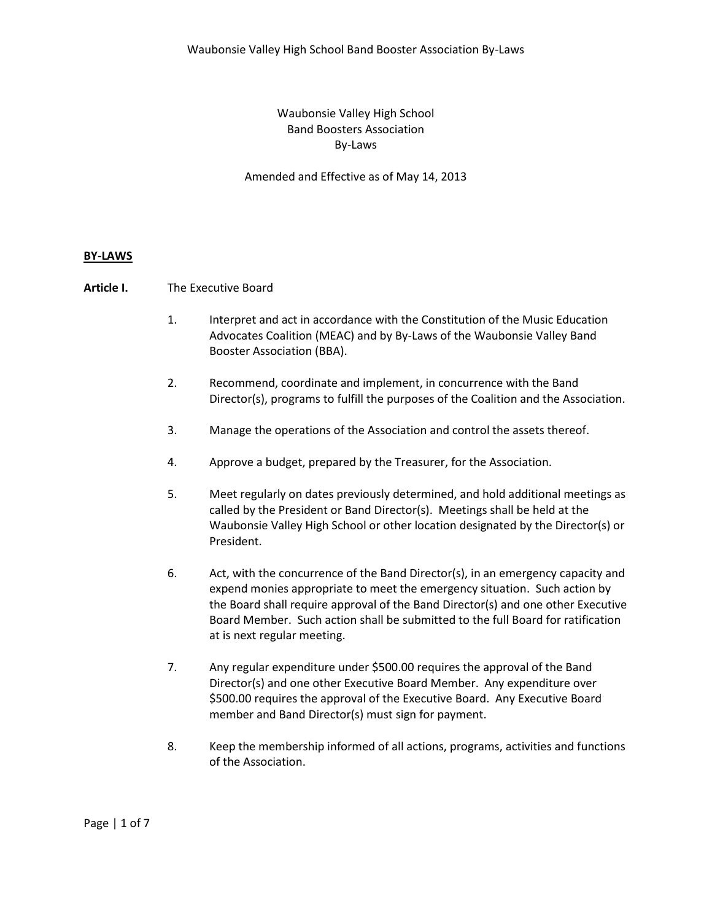# Waubonsie Valley High School Band Boosters Association By-Laws

Amended and Effective as of May 14, 2013

### **BY-LAWS**

### **Article I.** The Executive Board

- 1. Interpret and act in accordance with the Constitution of the Music Education Advocates Coalition (MEAC) and by By-Laws of the Waubonsie Valley Band Booster Association (BBA).
- 2. Recommend, coordinate and implement, in concurrence with the Band Director(s), programs to fulfill the purposes of the Coalition and the Association.
- 3. Manage the operations of the Association and control the assets thereof.
- 4. Approve a budget, prepared by the Treasurer, for the Association.
- 5. Meet regularly on dates previously determined, and hold additional meetings as called by the President or Band Director(s). Meetings shall be held at the Waubonsie Valley High School or other location designated by the Director(s) or President.
- 6. Act, with the concurrence of the Band Director(s), in an emergency capacity and expend monies appropriate to meet the emergency situation. Such action by the Board shall require approval of the Band Director(s) and one other Executive Board Member. Such action shall be submitted to the full Board for ratification at is next regular meeting.
- 7. Any regular expenditure under \$500.00 requires the approval of the Band Director(s) and one other Executive Board Member. Any expenditure over \$500.00 requires the approval of the Executive Board. Any Executive Board member and Band Director(s) must sign for payment.
- 8. Keep the membership informed of all actions, programs, activities and functions of the Association.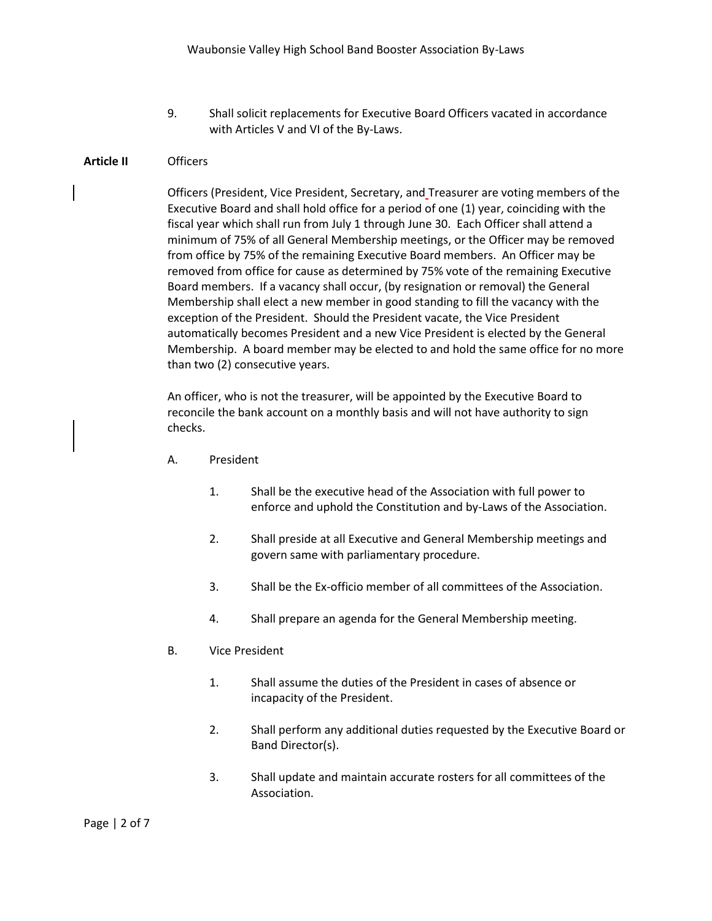9. Shall solicit replacements for Executive Board Officers vacated in accordance with Articles V and VI of the By-Laws.

### **Article II** Officers

Officers (President, Vice President, Secretary, and Treasurer are voting members of the Executive Board and shall hold office for a period of one (1) year, coinciding with the fiscal year which shall run from July 1 through June 30. Each Officer shall attend a minimum of 75% of all General Membership meetings, or the Officer may be removed from office by 75% of the remaining Executive Board members. An Officer may be removed from office for cause as determined by 75% vote of the remaining Executive Board members. If a vacancy shall occur, (by resignation or removal) the General Membership shall elect a new member in good standing to fill the vacancy with the exception of the President. Should the President vacate, the Vice President automatically becomes President and a new Vice President is elected by the General Membership. A board member may be elected to and hold the same office for no more than two (2) consecutive years.

An officer, who is not the treasurer, will be appointed by the Executive Board to reconcile the bank account on a monthly basis and will not have authority to sign checks.

- A. President
	- 1. Shall be the executive head of the Association with full power to enforce and uphold the Constitution and by-Laws of the Association.
	- 2. Shall preside at all Executive and General Membership meetings and govern same with parliamentary procedure.
	- 3. Shall be the Ex-officio member of all committees of the Association.
	- 4. Shall prepare an agenda for the General Membership meeting.
- B. Vice President
	- 1. Shall assume the duties of the President in cases of absence or incapacity of the President.
	- 2. Shall perform any additional duties requested by the Executive Board or Band Director(s).
	- 3. Shall update and maintain accurate rosters for all committees of the Association.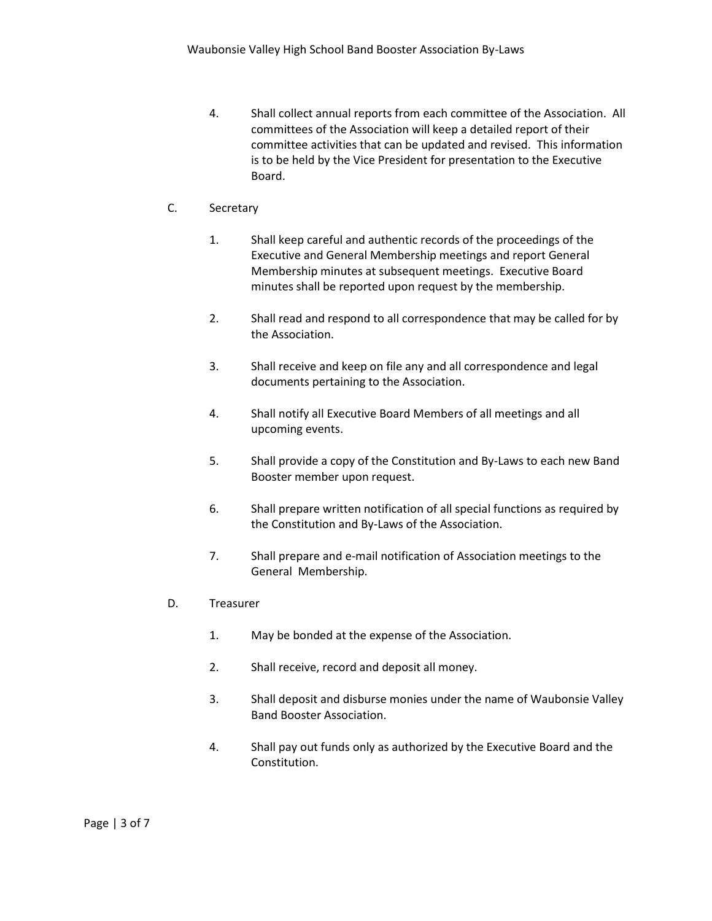4. Shall collect annual reports from each committee of the Association. All committees of the Association will keep a detailed report of their committee activities that can be updated and revised. This information is to be held by the Vice President for presentation to the Executive Board.

# C. Secretary

- 1. Shall keep careful and authentic records of the proceedings of the Executive and General Membership meetings and report General Membership minutes at subsequent meetings. Executive Board minutes shall be reported upon request by the membership.
- 2. Shall read and respond to all correspondence that may be called for by the Association.
- 3. Shall receive and keep on file any and all correspondence and legal documents pertaining to the Association.
- 4. Shall notify all Executive Board Members of all meetings and all upcoming events.
- 5. Shall provide a copy of the Constitution and By-Laws to each new Band Booster member upon request.
- 6. Shall prepare written notification of all special functions as required by the Constitution and By-Laws of the Association.
- 7. Shall prepare and e-mail notification of Association meetings to the General Membership.
- D. Treasurer
	- 1. May be bonded at the expense of the Association.
	- 2. Shall receive, record and deposit all money.
	- 3. Shall deposit and disburse monies under the name of Waubonsie Valley Band Booster Association.
	- 4. Shall pay out funds only as authorized by the Executive Board and the Constitution.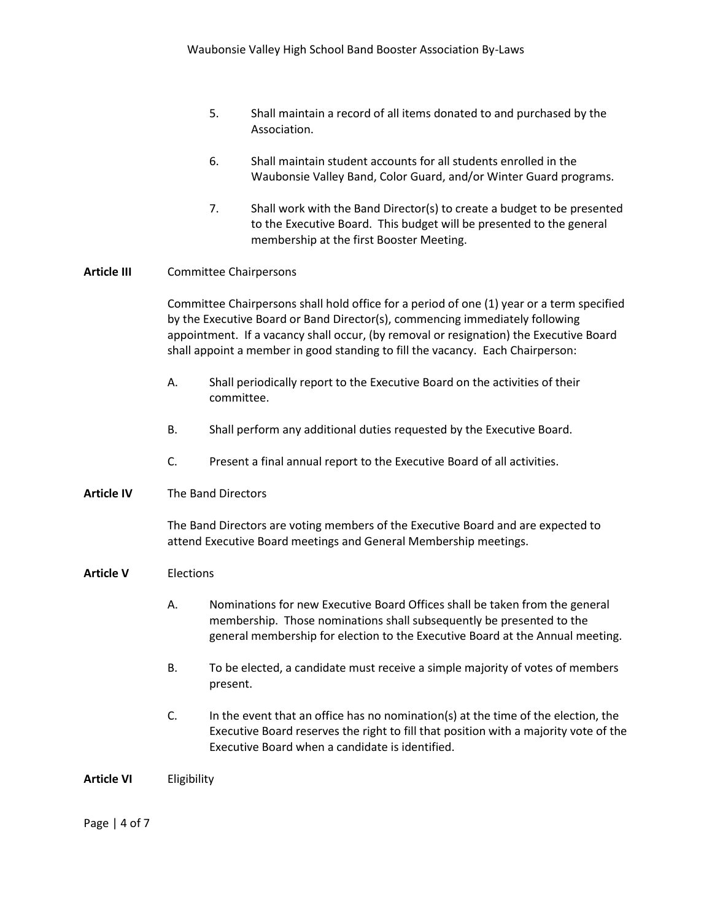- 5. Shall maintain a record of all items donated to and purchased by the Association.
- 6. Shall maintain student accounts for all students enrolled in the Waubonsie Valley Band, Color Guard, and/or Winter Guard programs.
- 7. Shall work with the Band Director(s) to create a budget to be presented to the Executive Board. This budget will be presented to the general membership at the first Booster Meeting.

# **Article III** Committee Chairpersons

Committee Chairpersons shall hold office for a period of one (1) year or a term specified by the Executive Board or Band Director(s), commencing immediately following appointment. If a vacancy shall occur, (by removal or resignation) the Executive Board shall appoint a member in good standing to fill the vacancy. Each Chairperson:

- A. Shall periodically report to the Executive Board on the activities of their committee.
- B. Shall perform any additional duties requested by the Executive Board.
- C. Present a final annual report to the Executive Board of all activities.

#### **Article IV** The Band Directors

The Band Directors are voting members of the Executive Board and are expected to attend Executive Board meetings and General Membership meetings.

#### **Article V** Elections

- A. Nominations for new Executive Board Offices shall be taken from the general membership. Those nominations shall subsequently be presented to the general membership for election to the Executive Board at the Annual meeting.
- B. To be elected, a candidate must receive a simple majority of votes of members present.
- C. In the event that an office has no nomination(s) at the time of the election, the Executive Board reserves the right to fill that position with a majority vote of the Executive Board when a candidate is identified.

#### **Article VI** Eligibility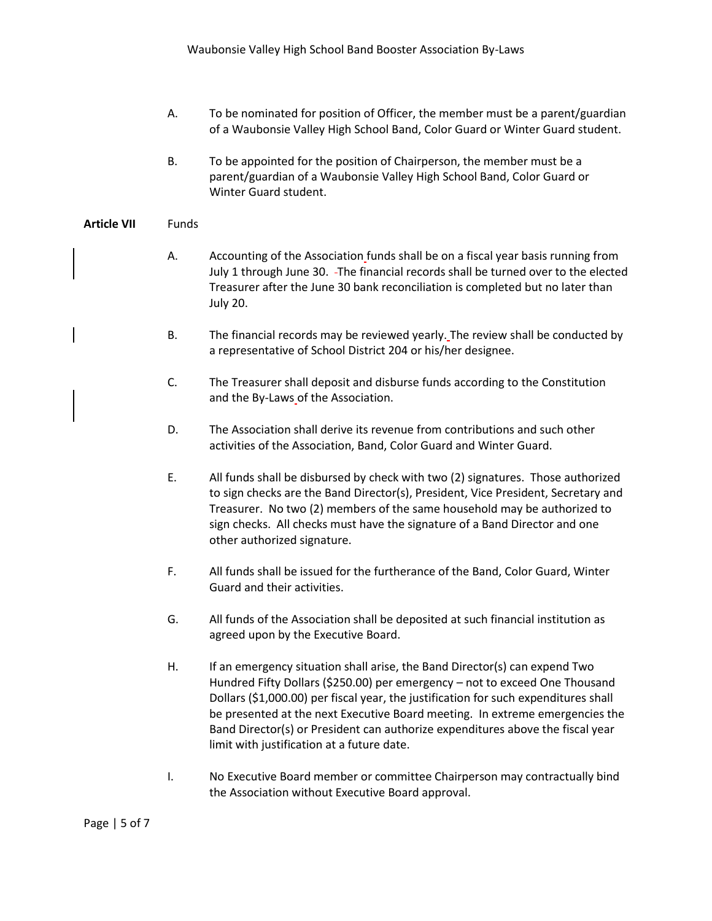- A. To be nominated for position of Officer, the member must be a parent/guardian of a Waubonsie Valley High School Band, Color Guard or Winter Guard student.
- B. To be appointed for the position of Chairperson, the member must be a parent/guardian of a Waubonsie Valley High School Band, Color Guard or Winter Guard student.

### **Article VII** Funds

- A. Accounting of the Association funds shall be on a fiscal year basis running from July 1 through June 30. The financial records shall be turned over to the elected Treasurer after the June 30 bank reconciliation is completed but no later than July 20.
- B. The financial records may be reviewed yearly. The review shall be conducted by a representative of School District 204 or his/her designee.
- C. The Treasurer shall deposit and disburse funds according to the Constitution and the By-Laws of the Association.
- D. The Association shall derive its revenue from contributions and such other activities of the Association, Band, Color Guard and Winter Guard.
- E. All funds shall be disbursed by check with two (2) signatures. Those authorized to sign checks are the Band Director(s), President, Vice President, Secretary and Treasurer. No two (2) members of the same household may be authorized to sign checks. All checks must have the signature of a Band Director and one other authorized signature.
- F. All funds shall be issued for the furtherance of the Band, Color Guard, Winter Guard and their activities.
- G. All funds of the Association shall be deposited at such financial institution as agreed upon by the Executive Board.
- H. If an emergency situation shall arise, the Band Director(s) can expend Two Hundred Fifty Dollars (\$250.00) per emergency – not to exceed One Thousand Dollars (\$1,000.00) per fiscal year, the justification for such expenditures shall be presented at the next Executive Board meeting. In extreme emergencies the Band Director(s) or President can authorize expenditures above the fiscal year limit with justification at a future date.
- I. No Executive Board member or committee Chairperson may contractually bind the Association without Executive Board approval.

Page | 5 of 7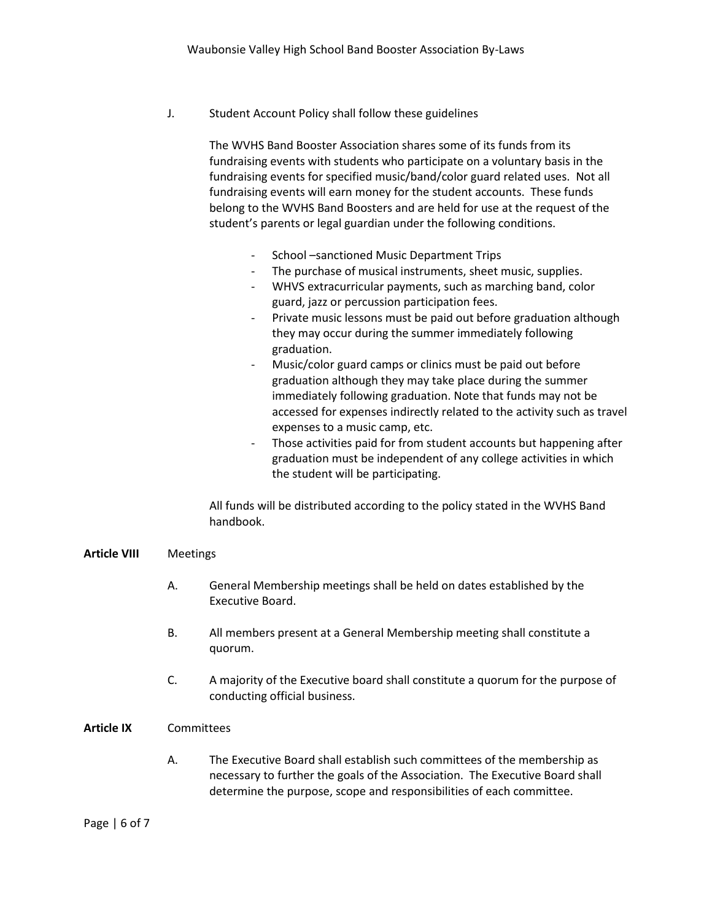J. Student Account Policy shall follow these guidelines

The WVHS Band Booster Association shares some of its funds from its fundraising events with students who participate on a voluntary basis in the fundraising events for specified music/band/color guard related uses. Not all fundraising events will earn money for the student accounts. These funds belong to the WVHS Band Boosters and are held for use at the request of the student's parents or legal guardian under the following conditions.

- School –sanctioned Music Department Trips
- The purchase of musical instruments, sheet music, supplies.
- WHVS extracurricular payments, such as marching band, color guard, jazz or percussion participation fees.
- Private music lessons must be paid out before graduation although they may occur during the summer immediately following graduation.
- Music/color guard camps or clinics must be paid out before graduation although they may take place during the summer immediately following graduation. Note that funds may not be accessed for expenses indirectly related to the activity such as travel expenses to a music camp, etc.
- Those activities paid for from student accounts but happening after graduation must be independent of any college activities in which the student will be participating.

All funds will be distributed according to the policy stated in the WVHS Band handbook.

# **Article VIII** Meetings

- A. General Membership meetings shall be held on dates established by the Executive Board.
- B. All members present at a General Membership meeting shall constitute a quorum.
- C. A majority of the Executive board shall constitute a quorum for the purpose of conducting official business.

# **Article IX** Committees

A. The Executive Board shall establish such committees of the membership as necessary to further the goals of the Association. The Executive Board shall determine the purpose, scope and responsibilities of each committee.

### Page | 6 of 7